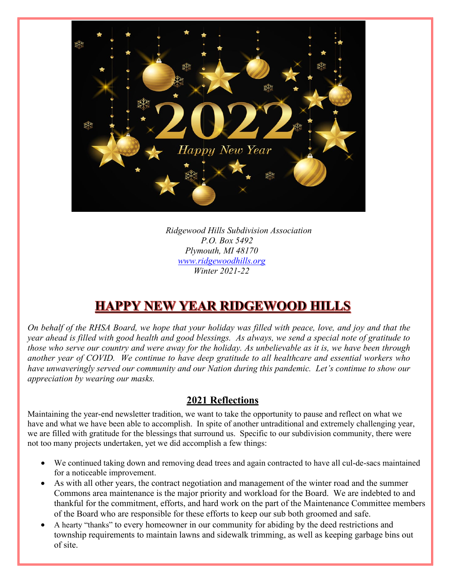

*Ridgewood Hills Subdivision Association P.O. Box 5492 Plymouth, MI 48170 [www.ridgewoodhills.org](http://www.ridgewoodhills.org/) Winter 2021-22*

# **HAPPY NEW YEAR RIDGEWOOD HILLS**

*On behalf of the RHSA Board, we hope that your holiday was filled with peace, love, and joy and that the year ahead is filled with good health and good blessings. As always, we send a special note of gratitude to those who serve our country and were away for the holiday. As unbelievable as it is, we have been through another year of COVID. We continue to have deep gratitude to all healthcare and essential workers who have unwaveringly served our community and our Nation during this pandemic. Let's continue to show our appreciation by wearing our masks.*

#### **2021 Reflections**

Maintaining the year-end newsletter tradition, we want to take the opportunity to pause and reflect on what we have and what we have been able to accomplish. In spite of another untraditional and extremely challenging year, we are filled with gratitude for the blessings that surround us. Specific to our subdivision community, there were not too many projects undertaken, yet we did accomplish a few things:

- We continued taking down and removing dead trees and again contracted to have all cul-de-sacs maintained for a noticeable improvement.
- As with all other years, the contract negotiation and management of the winter road and the summer Commons area maintenance is the major priority and workload for the Board. We are indebted to and thankful for the commitment, efforts, and hard work on the part of the Maintenance Committee members of the Board who are responsible for these efforts to keep our sub both groomed and safe.
- A hearty "thanks" to every homeowner in our community for abiding by the deed restrictions and township requirements to maintain lawns and sidewalk trimming, as well as keeping garbage bins out of site.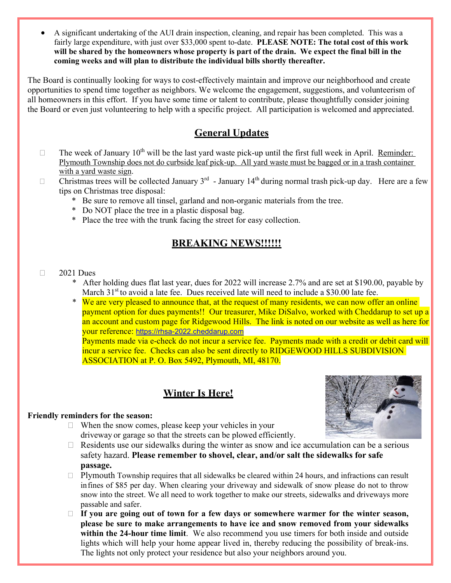• A significant undertaking of the AUI drain inspection, cleaning, and repair has been completed. This was a fairly large expenditure, with just over \$33,000 spent to-date. **PLEASE NOTE: The total cost of this work will be shared by the homeowners whose property is part of the drain. We expect the final bill in the coming weeks and will plan to distribute the individual bills shortly thereafter.** 

The Board is continually looking for ways to cost-effectively maintain and improve our neighborhood and create opportunities to spend time together as neighbors. We welcome the engagement, suggestions, and volunteerism of all homeowners in this effort. If you have some time or talent to contribute, please thoughtfully consider joining the Board or even just volunteering to help with a specific project. All participation is welcomed and appreciated.

### **General Updates**

- $\Box$  The week of January 10<sup>th</sup> will be the last yard waste pick-up until the first full week in April. <u>Reminder:</u> Plymouth Township does not do curbside leaf pick-up. All yard waste must be bagged or in a trash container with a yard waste sign.
- Christmas trees will be collected January  $3^{rd}$  January  $14^{th}$  during normal trash pick-up day. Here are a few tips on Christmas tree disposal:
	- \* Be sure to remove all tinsel, garland and non-organic materials from the tree.
	- \* Do NOT place the tree in a plastic disposal bag.
	- \* Place the tree with the trunk facing the street for easy collection.

#### **BREAKING NEWS!!!!!!**

#### $\Box$  2021 Dues

- \* After holding dues flat last year, dues for 2022 will increase 2.7% and are set at \$190.00, payable by March  $31<sup>st</sup>$  to avoid a late fee. Dues received late will need to include a \$30.00 late fee.
- We are very pleased to announce that, at the request of many residents, we can now offer an online payment option for dues payments!! Our treasurer, Mike DiSalvo, worked with Cheddarup to set up a an account and custom page for Ridgewood Hills. The link is noted on our website as well as here for your reference: [https://rhsa-2022.cheddarup.com](https://rhsa-2022.cheddarup.com/)

Payments made via e-check do not incur a service fee. Payments made with a credit or debit card will incur a service fee. Checks can also be sent directly to RIDGEWOOD HILLS SUBDIVISION ASSOCIATION at P. O. Box 5492, Plymouth, MI, 48170.

#### **Winter Is Here!**

#### **Friendly reminders for the season:**

- When the snow comes, please keep your vehicles in your driveway or garage so that the streets can be plowed efficiently.
- $\Box$  Residents use our sidewalks during the winter as snow and ice accumulation can be a serious safety hazard. **Please remember to shovel, clear, and/or salt the sidewalks for safe passage.**
- $\Box$  Plymouth Township requires that all sidewalks be cleared within 24 hours, and infractions can result infines of \$85 per day. When clearing your driveway and sidewalk of snow please do not to throw snow into the street. We all need to work together to make our streets, sidewalks and driveways more passable and safer.
- **If you are going out of town for a few days or somewhere warmer for the winter season, please be sure to make arrangements to have ice and snow removed from your sidewalks within the 24-hour time limit**. We also recommend you use timers for both inside and outside lights which will help your home appear lived in, thereby reducing the possibility of break-ins. The lights not only protect your residence but also your neighbors around you.

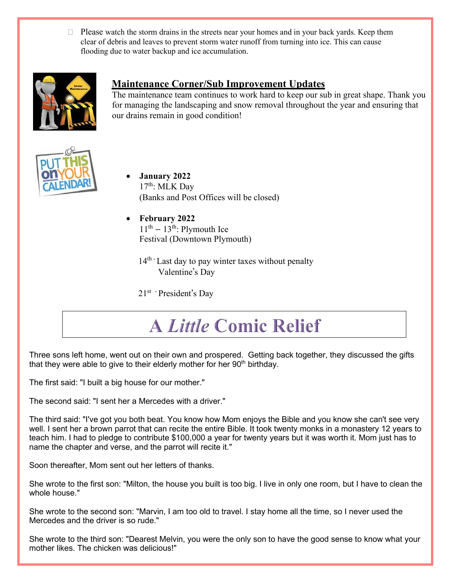$\Box$  Please watch the storm drains in the streets near your homes and in your back yards. Keep them clear of debris and leaves to prevent storm water runoff from turning into ice. This can cause flooding due to water backup and ice accumulation.



## **Maintenance Corner/Sub Improvement Updates**

The maintenance team continues to work hard to keep our sub in great shape. Thank you for managing the landscaping and snow removal throughout the year and ensuring that our drains remain in good condition!



- **January 2022**  $17<sup>th</sup>$ : MLK Day (Banks and Post Offices will be closed)
- **February 2022**  $11<sup>th</sup> - 13<sup>th</sup>$ : Plymouth Ice Festival (Downtown Plymouth)
	- 14<sup>th</sup> Last day to pay winter taxes without penalty Valentine's Day

21st - President's Day

# **A Little Comic Relief**

Three sons left home, went out on their own and prospered. Getting back together, they discussed the gifts that they were able to give to their elderly mother for her  $90<sup>th</sup>$  birthday.

The first said: "I built a big house for our mother."

The second said: "I sent her a Mercedes with a driver."

The third said: "I've got you both beat. You know how Mom enjoys the Bible and you know she can't see very well. I sent her a brown parrot that can recite the entire Bible. It took twenty monks in a monastery 12 years to teach him. I had to pledge to contribute \$100,000 a year for twenty years but it was worth it. Mom just has to name the chapter and verse, and the parrot will recite it."

Soon thereafter, Mom sent out her letters of thanks.

She wrote to the first son: "Milton, the house you built is too big. I live in only one room, but I have to clean the whole house."

She wrote to the second son: "Marvin, I am too old to travel. I stay home all the time, so I never used the Mercedes and the driver is so rude."

She wrote to the third son: "Dearest Melvin, you were the only son to have the good sense to know what your mother likes. The chicken was delicious!"